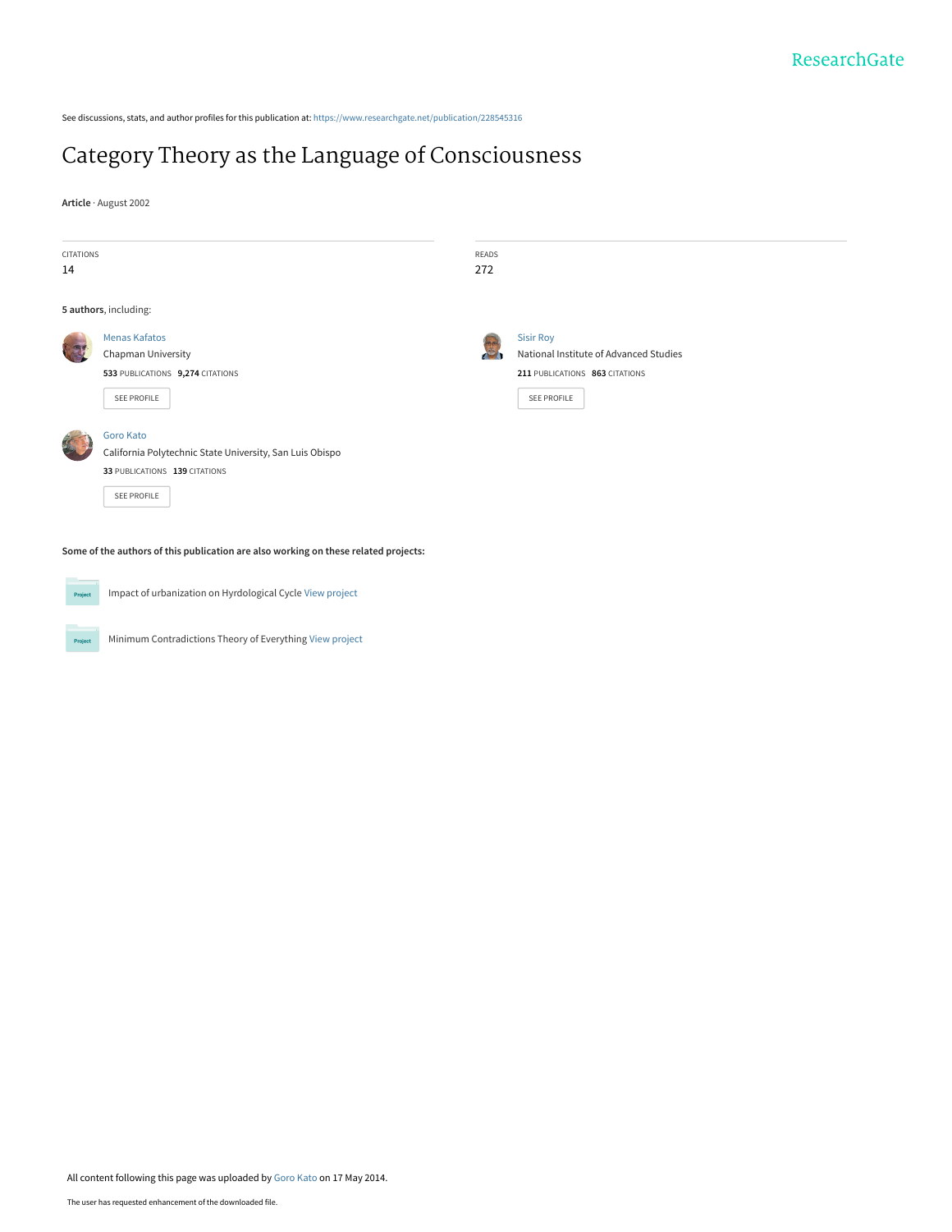See discussions, stats, and author profiles for this publication at: [https://www.researchgate.net/publication/228545316](https://www.researchgate.net/publication/228545316_Category_Theory_as_the_Language_of_Consciousness?enrichId=rgreq-9c4c88443a829e19030b8c83e000597f-XXX&enrichSource=Y292ZXJQYWdlOzIyODU0NTMxNjtBUzo5NzczMjcwNjQzOTE4MkAxNDAwMzEyNzAxNzQ1&el=1_x_2&_esc=publicationCoverPdf)

# [Category Theory as the Language of Consciousness](https://www.researchgate.net/publication/228545316_Category_Theory_as_the_Language_of_Consciousness?enrichId=rgreq-9c4c88443a829e19030b8c83e000597f-XXX&enrichSource=Y292ZXJQYWdlOzIyODU0NTMxNjtBUzo5NzczMjcwNjQzOTE4MkAxNDAwMzEyNzAxNzQ1&el=1_x_3&_esc=publicationCoverPdf)

**Article** · August 2002



**Some of the authors of this publication are also working on these related projects:**



Project

Impact of urbanization on Hyrdological Cycle [View project](https://www.researchgate.net/project/Impact-of-urbanization-on-Hyrdological-Cycle?enrichId=rgreq-9c4c88443a829e19030b8c83e000597f-XXX&enrichSource=Y292ZXJQYWdlOzIyODU0NTMxNjtBUzo5NzczMjcwNjQzOTE4MkAxNDAwMzEyNzAxNzQ1&el=1_x_9&_esc=publicationCoverPdf)

Minimum Contradictions Theory of Everything [View project](https://www.researchgate.net/project/Minimum-Contradictions-Theory-of-Everything?enrichId=rgreq-9c4c88443a829e19030b8c83e000597f-XXX&enrichSource=Y292ZXJQYWdlOzIyODU0NTMxNjtBUzo5NzczMjcwNjQzOTE4MkAxNDAwMzEyNzAxNzQ1&el=1_x_9&_esc=publicationCoverPdf)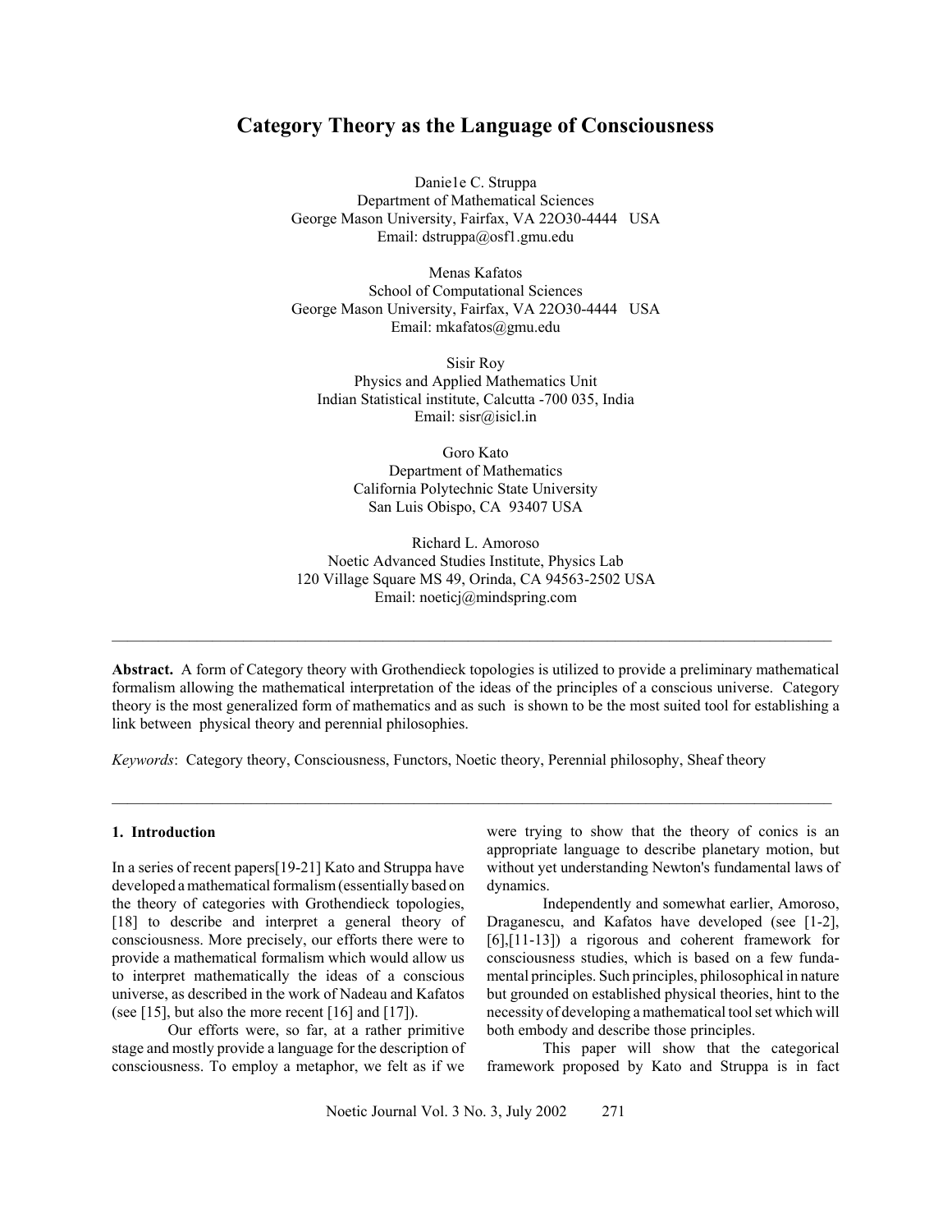# **Category Theory as the Language of Consciousness**

Danie1e C. Struppa Department of Mathematical Sciences George Mason University, Fairfax, VA 22O30-4444 USA Email: dstruppa@osf1.gmu.edu

Menas Kafatos School of Computational Sciences George Mason University, Fairfax, VA 22O30-4444 USA Email: mkafatos@gmu.edu

Sisir Roy Physics and Applied Mathematics Unit Indian Statistical institute, Calcutta -700 035, India Email: sisr@isicl.in

> Goro Kato Department of Mathematics California Polytechnic State University San Luis Obispo, CA 93407 USA

Richard L. Amoroso Noetic Advanced Studies Institute, Physics Lab 120 Village Square MS 49, Orinda, CA 94563-2502 USA Email: noeticj@mindspring.com

**Abstract.** A form of Category theory with Grothendieck topologies is utilized to provide a preliminary mathematical formalism allowing the mathematical interpretation of the ideas of the principles of a conscious universe. Category theory is the most generalized form of mathematics and as such is shown to be the most suited tool for establishing a link between physical theory and perennial philosophies.

 $\mathcal{L}_\mathcal{L} = \mathcal{L}_\mathcal{L}$ 

 $\mathcal{L}_\mathcal{L} = \{ \mathcal{L}_\mathcal{L} = \{ \mathcal{L}_\mathcal{L} = \{ \mathcal{L}_\mathcal{L} = \{ \mathcal{L}_\mathcal{L} = \{ \mathcal{L}_\mathcal{L} = \{ \mathcal{L}_\mathcal{L} = \{ \mathcal{L}_\mathcal{L} = \{ \mathcal{L}_\mathcal{L} = \{ \mathcal{L}_\mathcal{L} = \{ \mathcal{L}_\mathcal{L} = \{ \mathcal{L}_\mathcal{L} = \{ \mathcal{L}_\mathcal{L} = \{ \mathcal{L}_\mathcal{L} = \{ \mathcal{L}_\mathcal{$ 

*Keywords*: Category theory, Consciousness, Functors, Noetic theory, Perennial philosophy, Sheaf theory

#### **1. Introduction**

In a series of recent papers[19-21] Kato and Struppa have developed a mathematical formalism (essentially based on the theory of categories with Grothendieck topologies, [18] to describe and interpret a general theory of consciousness. More precisely, our efforts there were to provide a mathematical formalism which would allow us to interpret mathematically the ideas of a conscious universe, as described in the work of Nadeau and Kafatos (see [15], but also the more recent [16] and [17]).

Our efforts were, so far, at a rather primitive stage and mostly provide a language for the description of consciousness. To employ a metaphor, we felt as if we

were trying to show that the theory of conics is an appropriate language to describe planetary motion, but without yet understanding Newton's fundamental laws of dynamics.

Independently and somewhat earlier, Amoroso, Draganescu, and Kafatos have developed (see [1-2], [6],[11-13]) a rigorous and coherent framework for consciousness studies, which is based on a few fundamental principles. Such principles, philosophical in nature but grounded on established physical theories, hint to the necessity of developing a mathematical tool set which will both embody and describe those principles.

This paper will show that the categorical framework proposed by Kato and Struppa is in fact

Noetic Journal Vol. 3 No. 3, July 2002 271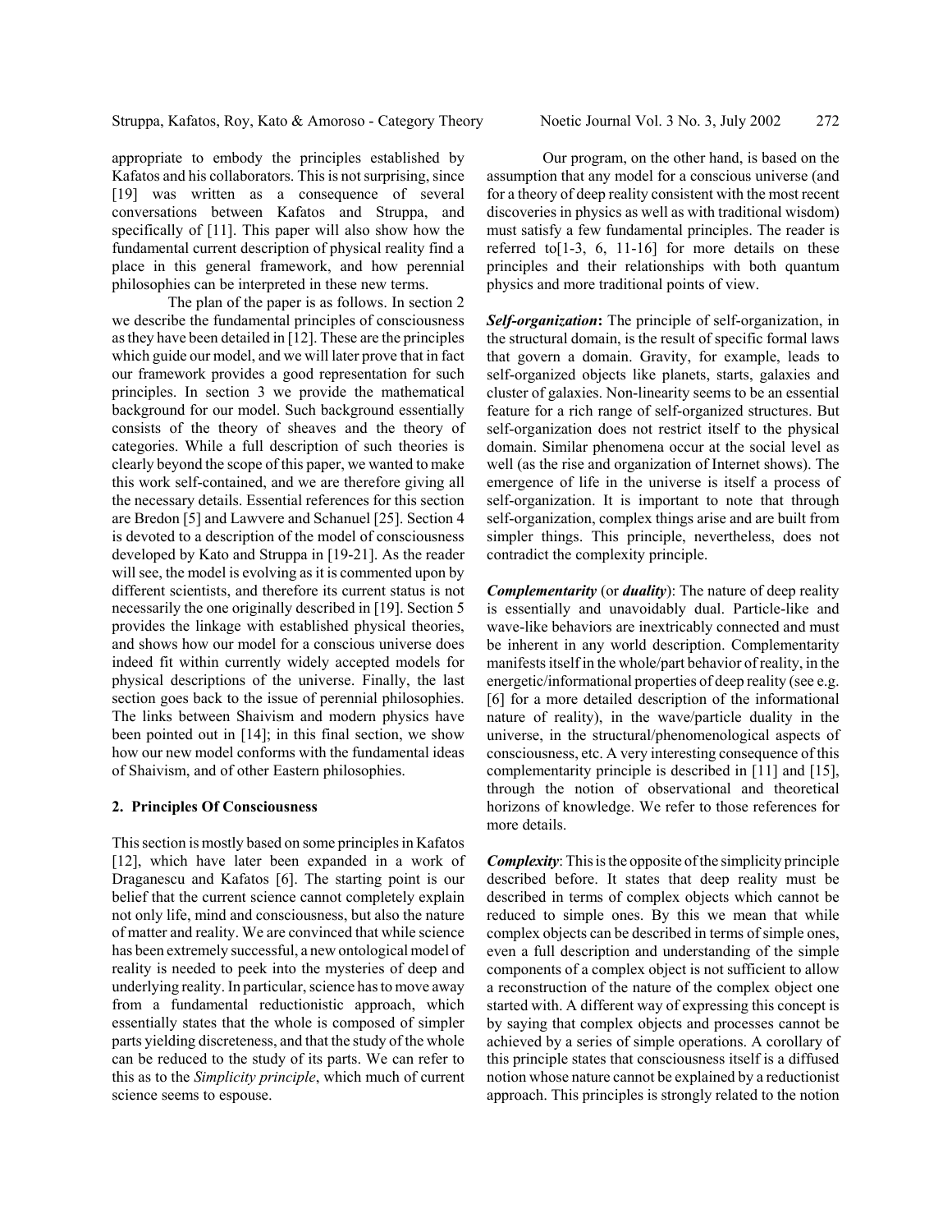appropriate to embody the principles established by Kafatos and his collaborators. This is not surprising, since [19] was written as a consequence of several conversations between Kafatos and Struppa, and specifically of [11]. This paper will also show how the fundamental current description of physical reality find a place in this general framework, and how perennial philosophies can be interpreted in these new terms.

The plan of the paper is as follows. In section 2 we describe the fundamental principles of consciousness as they have been detailed in [12]. These are the principles which guide our model, and we will later prove that in fact our framework provides a good representation for such principles. In section 3 we provide the mathematical background for our model. Such background essentially consists of the theory of sheaves and the theory of categories. While a full description of such theories is clearly beyond the scope of this paper, we wanted to make this work self-contained, and we are therefore giving all the necessary details. Essential references for this section are Bredon [5] and Lawvere and Schanuel [25]. Section 4 is devoted to a description of the model of consciousness developed by Kato and Struppa in [19-21]. As the reader will see, the model is evolving as it is commented upon by different scientists, and therefore its current status is not necessarily the one originally described in [19]. Section 5 provides the linkage with established physical theories, and shows how our model for a conscious universe does indeed fit within currently widely accepted models for physical descriptions of the universe. Finally, the last section goes back to the issue of perennial philosophies. The links between Shaivism and modern physics have been pointed out in [14]; in this final section, we show how our new model conforms with the fundamental ideas of Shaivism, and of other Eastern philosophies.

#### **2. Principles Of Consciousness**

This section is mostly based on some principles in Kafatos [12], which have later been expanded in a work of Draganescu and Kafatos [6]. The starting point is our belief that the current science cannot completely explain not only life, mind and consciousness, but also the nature of matter and reality. We are convinced that while science has been extremely successful, a new ontological model of reality is needed to peek into the mysteries of deep and underlying reality. In particular, science has to move away from a fundamental reductionistic approach, which essentially states that the whole is composed of simpler parts yielding discreteness, and that the study of the whole can be reduced to the study of its parts. We can refer to this as to the *Simplicity principle*, which much of current science seems to espouse.

Our program, on the other hand, is based on the assumption that any model for a conscious universe (and for a theory of deep reality consistent with the most recent discoveries in physics as well as with traditional wisdom) must satisfy a few fundamental principles. The reader is referred to $[1-3, 6, 11-16]$  for more details on these principles and their relationships with both quantum physics and more traditional points of view.

*Self-organization***:** The principle of self-organization, in the structural domain, is the result of specific formal laws that govern a domain. Gravity, for example, leads to self-organized objects like planets, starts, galaxies and cluster of galaxies. Non-linearity seems to be an essential feature for a rich range of self-organized structures. But self-organization does not restrict itself to the physical domain. Similar phenomena occur at the social level as well (as the rise and organization of Internet shows). The emergence of life in the universe is itself a process of self-organization. It is important to note that through self-organization, complex things arise and are built from simpler things. This principle, nevertheless, does not contradict the complexity principle.

*Complementarity* (or *duality*): The nature of deep reality is essentially and unavoidably dual. Particle-like and wave-like behaviors are inextricably connected and must be inherent in any world description. Complementarity manifests itself in the whole/part behavior of reality, in the energetic/informational properties of deep reality (see e.g. [6] for a more detailed description of the informational nature of reality), in the wave/particle duality in the universe, in the structural/phenomenological aspects of consciousness, etc. A very interesting consequence of this complementarity principle is described in [11] and [15], through the notion of observational and theoretical horizons of knowledge. We refer to those references for more details.

*Complexity*: This is the opposite of the simplicity principle described before. It states that deep reality must be described in terms of complex objects which cannot be reduced to simple ones. By this we mean that while complex objects can be described in terms of simple ones, even a full description and understanding of the simple components of a complex object is not sufficient to allow a reconstruction of the nature of the complex object one started with. A different way of expressing this concept is by saying that complex objects and processes cannot be achieved by a series of simple operations. A corollary of this principle states that consciousness itself is a diffused notion whose nature cannot be explained by a reductionist approach. This principles is strongly related to the notion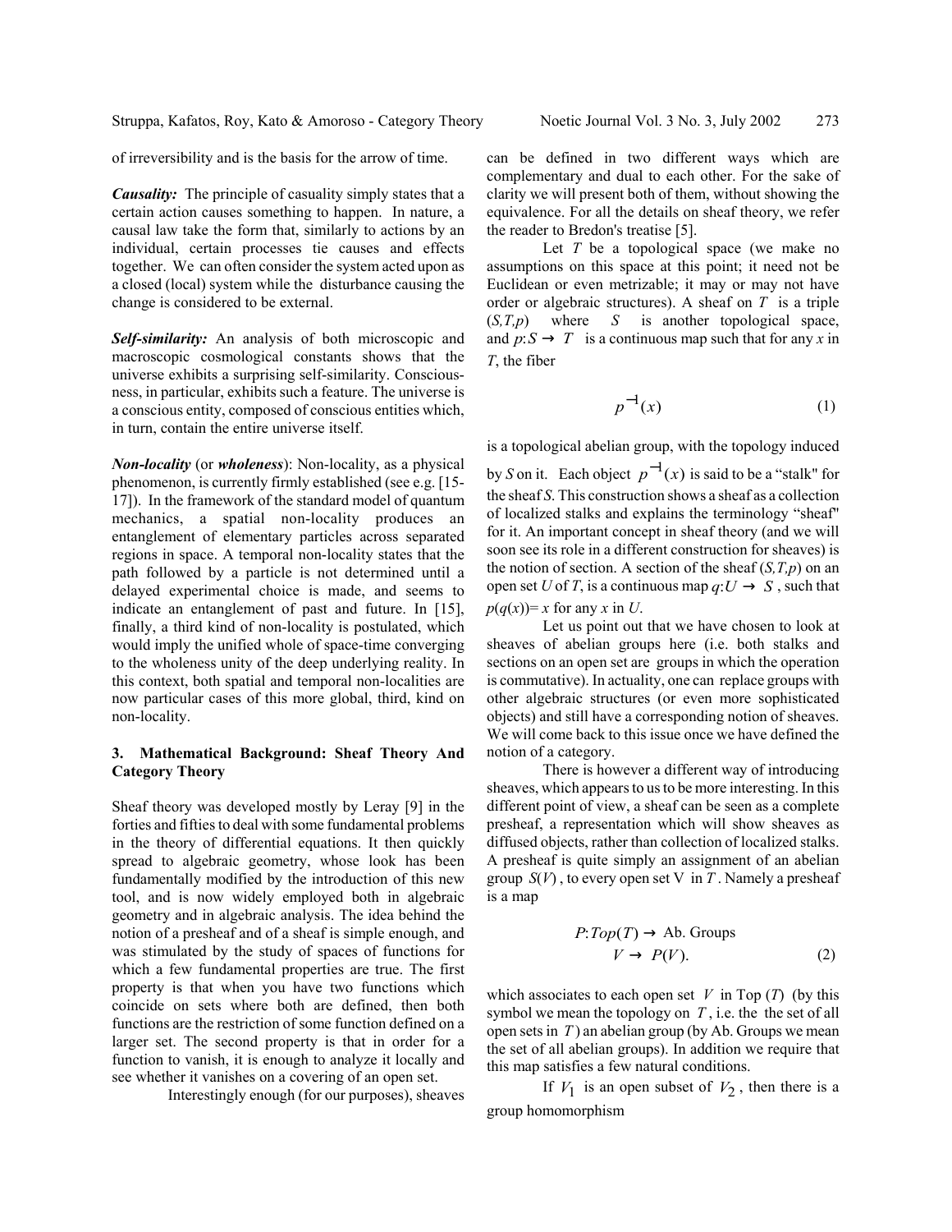of irreversibility and is the basis for the arrow of time.

*Causality:* The principle of casuality simply states that a certain action causes something to happen. In nature, a causal law take the form that, similarly to actions by an individual, certain processes tie causes and effects together. We can often consider the system acted upon as a closed (local) system while the disturbance causing the change is considered to be external.

*Self-similarity:* An analysis of both microscopic and macroscopic cosmological constants shows that the universe exhibits a surprising self-similarity. Consciousness, in particular, exhibits such a feature. The universe is a conscious entity, composed of conscious entities which, in turn, contain the entire universe itself.

*Non-locality* (or *wholeness*): Non-locality, as a physical phenomenon, is currently firmly established (see e.g. [15- 17]). In the framework of the standard model of quantum mechanics, a spatial non-locality produces an entanglement of elementary particles across separated regions in space. A temporal non-locality states that the path followed by a particle is not determined until a delayed experimental choice is made, and seems to indicate an entanglement of past and future. In [15], finally, a third kind of non-locality is postulated, which would imply the unified whole of space-time converging to the wholeness unity of the deep underlying reality. In this context, both spatial and temporal non-localities are now particular cases of this more global, third, kind on non-locality.

## **3. Mathematical Background: Sheaf Theory And Category Theory**

Sheaf theory was developed mostly by Leray [9] in the forties and fifties to deal with some fundamental problems in the theory of differential equations. It then quickly spread to algebraic geometry, whose look has been fundamentally modified by the introduction of this new tool, and is now widely employed both in algebraic geometry and in algebraic analysis. The idea behind the notion of a presheaf and of a sheaf is simple enough, and was stimulated by the study of spaces of functions for which a few fundamental properties are true. The first property is that when you have two functions which coincide on sets where both are defined, then both functions are the restriction of some function defined on a larger set. The second property is that in order for a function to vanish, it is enough to analyze it locally and see whether it vanishes on a covering of an open set.

Interestingly enough (for our purposes), sheaves

can be defined in two different ways which are complementary and dual to each other. For the sake of clarity we will present both of them, without showing the equivalence. For all the details on sheaf theory, we refer the reader to Bredon's treatise [5].

Let *T* be a topological space (we make no assumptions on this space at this point; it need not be Euclidean or even metrizable; it may or may not have order or algebraic structures). A sheaf on *T* is a triple (*S,T,p*) where *S* is another topological space, and  $p: S \to T$  is a continuous map such that for any *x* in *T*, the fiber

$$
p^{-1}(x) \tag{1}
$$

is a topological abelian group, with the topology induced

by *S* on it. Each object  $p^{-1}(x)$  is said to be a "stalk" for the sheaf *S*. This construction shows a sheaf as a collection of localized stalks and explains the terminology "sheaf" for it. An important concept in sheaf theory (and we will soon see its role in a different construction for sheaves) is the notion of section. A section of the sheaf  $(S, T, p)$  on an open set *U* of *T*, is a continuous map  $q: U \to S$ , such that  $p(q(x)) = x$  for any *x* in *U*.

Let us point out that we have chosen to look at sheaves of abelian groups here (i.e. both stalks and sections on an open set are groups in which the operation is commutative). In actuality, one can replace groups with other algebraic structures (or even more sophisticated objects) and still have a corresponding notion of sheaves. We will come back to this issue once we have defined the notion of a category.

There is however a different way of introducing sheaves, which appears to us to be more interesting. In this different point of view, a sheaf can be seen as a complete presheaf, a representation which will show sheaves as diffused objects, rather than collection of localized stalks. A presheaf is quite simply an assignment of an abelian group  $S(V)$ , to every open set V in T. Namely a presheaf is a map

$$
P: Top(T) \to Ab. Groups
$$

$$
V \to P(V).
$$
 (2)

which associates to each open set  $V$  in Top  $(T)$  (by this symbol we mean the topology on *T* , i.e. the the set of all open sets in *T* ) an abelian group (by Ab. Groups we mean the set of all abelian groups). In addition we require that this map satisfies a few natural conditions.

If  $V_1$  is an open subset of  $V_2$ , then there is a group homomorphism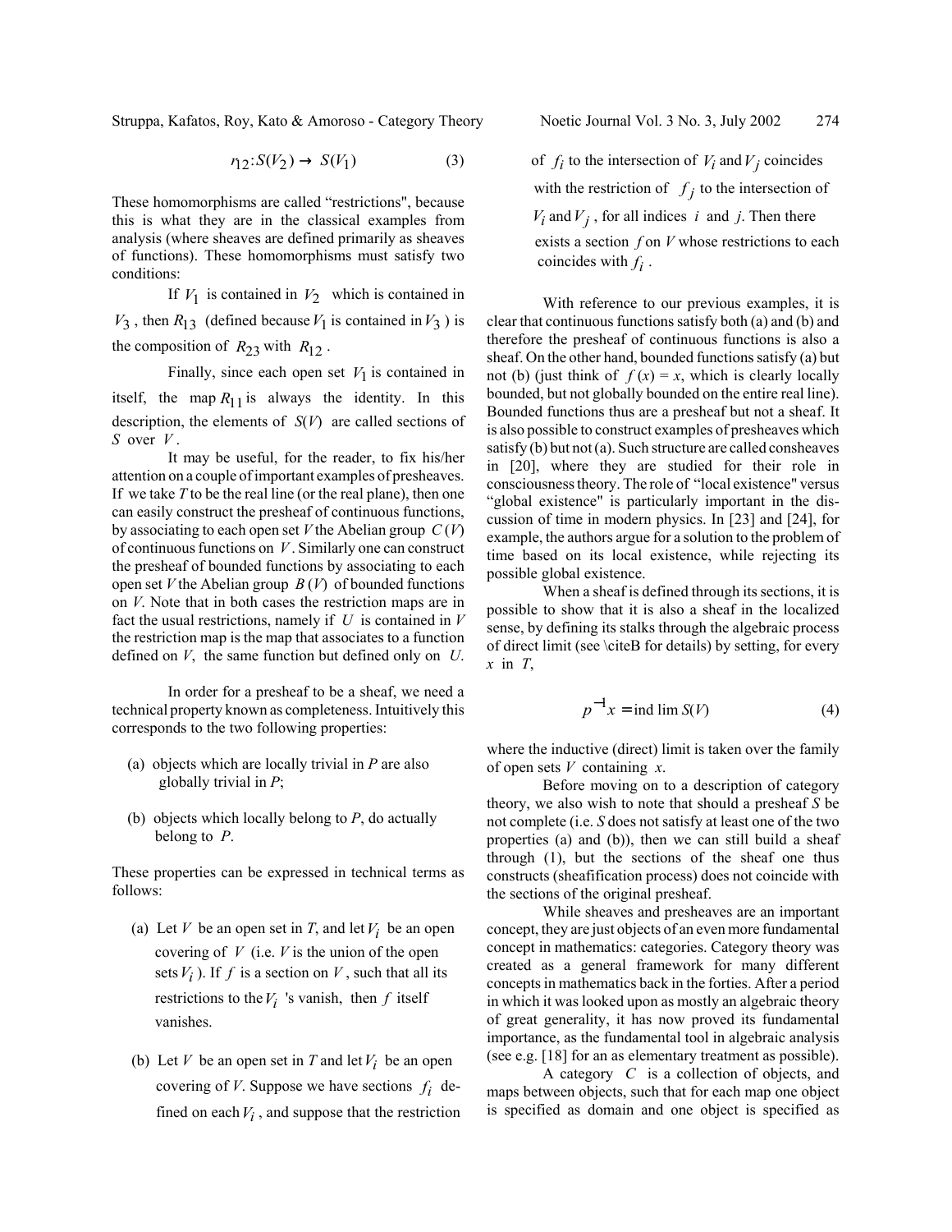$$
r_{12}:S(V_2) \to S(V_1) \tag{3}
$$

These homomorphisms are called "restrictions", because this is what they are in the classical examples from analysis (where sheaves are defined primarily as sheaves of functions). These homomorphisms must satisfy two conditions:

If  $V_1$  is contained in  $V_2$  which is contained in  $V_3$ , then  $R_{13}$  (defined because  $V_1$  is contained in  $V_3$ ) is the composition of  $R_{23}$  with  $R_{12}$ .

Finally, since each open set  $V_1$  is contained in itself, the map  $R_{11}$  is always the identity. In this description, the elements of *S*(*V*) are called sections of *S* over *V* .

It may be useful, for the reader, to fix his/her attention on a couple of important examples of presheaves. If we take *T* to be the real line (or the real plane), then one can easily construct the presheaf of continuous functions, by associating to each open set *V* the Abelian group *C* (*V*) of continuous functions on *V* . Similarly one can construct the presheaf of bounded functions by associating to each open set *V* the Abelian group *B* (*V*) of bounded functions on *V*. Note that in both cases the restriction maps are in fact the usual restrictions, namely if *U* is contained in *V* the restriction map is the map that associates to a function defined on *V*, the same function but defined only on *U*.

In order for a presheaf to be a sheaf, we need a technical property known as completeness. Intuitively this corresponds to the two following properties:

- (a) objects which are locally trivial in *P* are also globally trivial in *P*;
- (b) objects which locally belong to *P*, do actually belong to *P*.

These properties can be expressed in technical terms as follows:

- (a) Let *V* be an open set in *T*, and let  $V_i$  be an open covering of *V* (i.e. *V* is the union of the open sets  $V_i$ ). If f is a section on V, such that all its restrictions to the  $V_i$  's vanish, then  $f$  itself vanishes.
- (b) Let *V* be an open set in *T* and let  $V_i$  be an open covering of *V*. Suppose we have sections  $f_i$  defined on each  $V_i$ , and suppose that the restriction

of  $f_i$  to the intersection of  $V_i$  and  $V_j$  coincides with the restriction of  $f_j$  to the intersection of  $V_i$  and  $V_j$ , for all indices *i* and *j*. Then there exists a section *f* on *V* whose restrictions to each coincides with  $f_i$ .

With reference to our previous examples, it is clear that continuous functions satisfy both (a) and (b) and therefore the presheaf of continuous functions is also a sheaf. On the other hand, bounded functions satisfy (a) but not (b) (just think of  $f(x) = x$ , which is clearly locally bounded, but not globally bounded on the entire real line). Bounded functions thus are a presheaf but not a sheaf. It is also possible to construct examples of presheaves which satisfy (b) but not (a). Such structure are called consheaves in [20], where they are studied for their role in consciousness theory. The role of "local existence" versus "global existence" is particularly important in the discussion of time in modern physics. In [23] and [24], for example, the authors argue for a solution to the problem of time based on its local existence, while rejecting its possible global existence.

When a sheaf is defined through its sections, it is possible to show that it is also a sheaf in the localized sense, by defining its stalks through the algebraic process of direct limit (see \citeB for details) by setting, for every *x* in *T*,

$$
p^{-1}x = \text{ind }\lim S(V) \tag{4}
$$

where the inductive (direct) limit is taken over the family of open sets *V* containing *x*.

Before moving on to a description of category theory, we also wish to note that should a presheaf *S* be not complete (i.e. *S* does not satisfy at least one of the two properties (a) and (b)), then we can still build a sheaf through (1), but the sections of the sheaf one thus constructs (sheafification process) does not coincide with the sections of the original presheaf.

While sheaves and presheaves are an important concept, they are just objects of an even more fundamental concept in mathematics: categories. Category theory was created as a general framework for many different concepts in mathematics back in the forties. After a period in which it was looked upon as mostly an algebraic theory of great generality, it has now proved its fundamental importance, as the fundamental tool in algebraic analysis (see e.g. [18] for an as elementary treatment as possible).

A category *C* is a collection of objects, and maps between objects, such that for each map one object is specified as domain and one object is specified as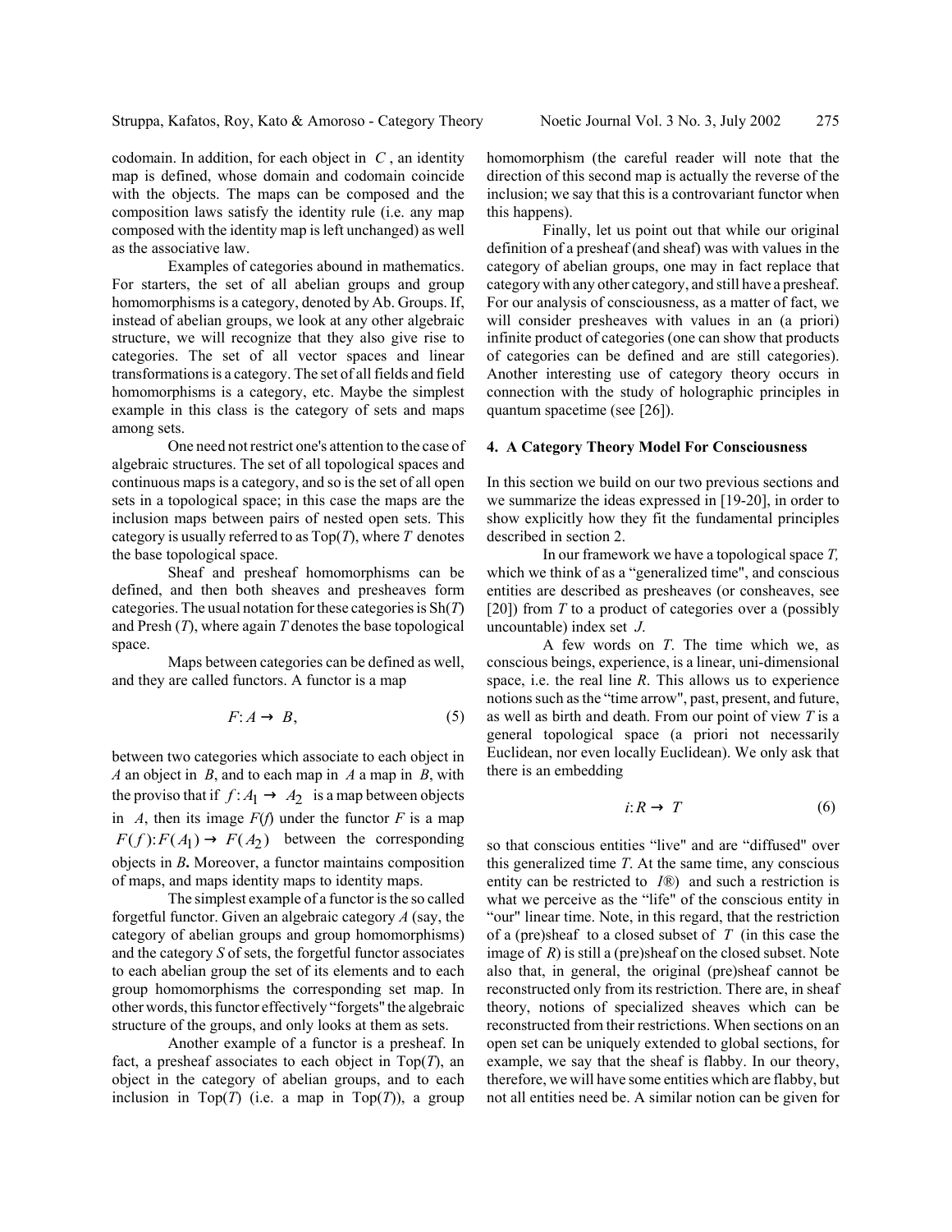codomain. In addition, for each object in *C* , an identity map is defined, whose domain and codomain coincide with the objects. The maps can be composed and the composition laws satisfy the identity rule (i.e. any map composed with the identity map is left unchanged) as well as the associative law.

Examples of categories abound in mathematics. For starters, the set of all abelian groups and group homomorphisms is a category, denoted by Ab. Groups. If, instead of abelian groups, we look at any other algebraic structure, we will recognize that they also give rise to categories. The set of all vector spaces and linear transformations is a category. The set of all fields and field homomorphisms is a category, etc. Maybe the simplest example in this class is the category of sets and maps among sets.

One need not restrict one's attention to the case of algebraic structures. The set of all topological spaces and continuous maps is a category, and so is the set of all open sets in a topological space; in this case the maps are the inclusion maps between pairs of nested open sets. This category is usually referred to as Top(*T*), where *T* denotes the base topological space.

Sheaf and presheaf homomorphisms can be defined, and then both sheaves and presheaves form categories. The usual notation for these categories is Sh(*T*) and Presh (*T*), where again *T* denotes the base topological space.

Maps between categories can be defined as well, and they are called functors. A functor is a map

$$
F: A \to B,\tag{5}
$$

between two categories which associate to each object in *A* an object in *B*, and to each map in *A* a map in *B*, with the proviso that if  $f: A_1 \rightarrow A_2$  is a map between objects in *A*, then its image  $F(f)$  under the functor *F* is a map  $F(f)$ :  $F(A_1) \rightarrow F(A_2)$  between the corresponding objects in *B***.** Moreover, a functor maintains composition of maps, and maps identity maps to identity maps.

The simplest example of a functor is the so called forgetful functor. Given an algebraic category *A* (say, the category of abelian groups and group homomorphisms) and the category *S* of sets, the forgetful functor associates to each abelian group the set of its elements and to each group homomorphisms the corresponding set map. In other words, this functor effectively "forgets" the algebraic structure of the groups, and only looks at them as sets.

Another example of a functor is a presheaf. In fact, a presheaf associates to each object in Top(*T*), an object in the category of abelian groups, and to each inclusion in Top $(T)$  (i.e. a map in Top $(T)$ ), a group homomorphism (the careful reader will note that the direction of this second map is actually the reverse of the inclusion; we say that this is a controvariant functor when this happens).

Finally, let us point out that while our original definition of a presheaf (and sheaf) was with values in the category of abelian groups, one may in fact replace that category with any other category, and still have a presheaf. For our analysis of consciousness, as a matter of fact, we will consider presheaves with values in an (a priori) infinite product of categories (one can show that products of categories can be defined and are still categories). Another interesting use of category theory occurs in connection with the study of holographic principles in quantum spacetime (see [26]).

#### **4. A Category Theory Model For Consciousness**

In this section we build on our two previous sections and we summarize the ideas expressed in [19-20], in order to show explicitly how they fit the fundamental principles described in section 2.

In our framework we have a topological space *T,* which we think of as a "generalized time", and conscious entities are described as presheaves (or consheaves, see [20]) from *T* to a product of categories over a (possibly uncountable) index set *J*.

A few words on *T*. The time which we, as conscious beings, experience, is a linear, uni-dimensional space, i.e. the real line *R*. This allows us to experience notions such as the "time arrow", past, present, and future, as well as birth and death. From our point of view *T* is a general topological space (a priori not necessarily Euclidean, nor even locally Euclidean). We only ask that there is an embedding

$$
i: R \to T \tag{6}
$$

so that conscious entities "live" and are "diffused" over this generalized time *T*. At the same time, any conscious entity can be restricted to *I®*) and such a restriction is what we perceive as the "life" of the conscious entity in "our" linear time. Note, in this regard, that the restriction of a (pre)sheaf to a closed subset of *T* (in this case the image of *R*) is still a (pre)sheaf on the closed subset. Note also that, in general, the original (pre)sheaf cannot be reconstructed only from its restriction. There are, in sheaf theory, notions of specialized sheaves which can be reconstructed from their restrictions. When sections on an open set can be uniquely extended to global sections, for example, we say that the sheaf is flabby. In our theory, therefore, we will have some entities which are flabby, but not all entities need be. A similar notion can be given for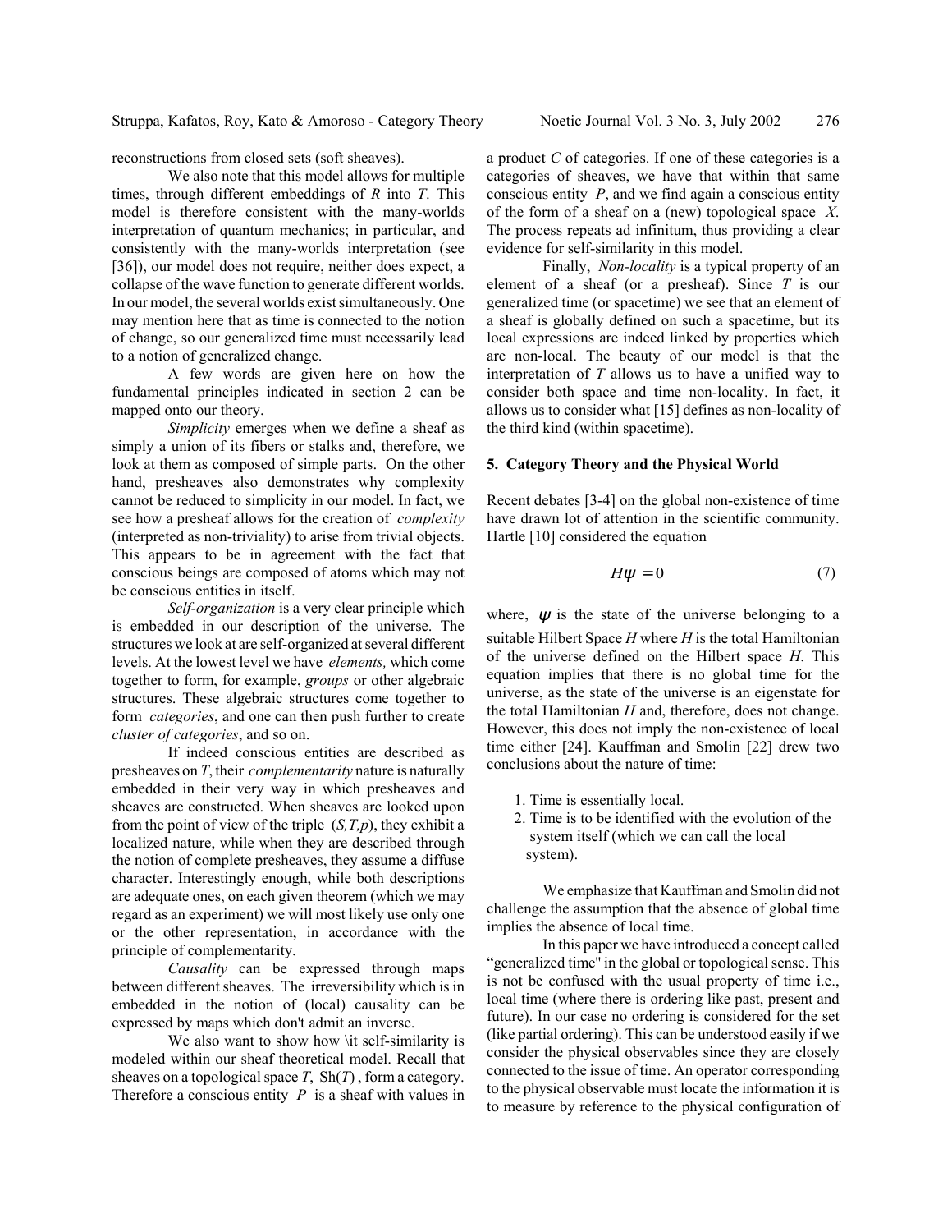reconstructions from closed sets (soft sheaves).

We also note that this model allows for multiple times, through different embeddings of *R* into *T*. This model is therefore consistent with the many-worlds interpretation of quantum mechanics; in particular, and consistently with the many-worlds interpretation (see [36]), our model does not require, neither does expect, a collapse of the wave function to generate different worlds. In our model, the several worlds exist simultaneously. One may mention here that as time is connected to the notion of change, so our generalized time must necessarily lead to a notion of generalized change.

A few words are given here on how the fundamental principles indicated in section 2 can be mapped onto our theory.

*Simplicity* emerges when we define a sheaf as simply a union of its fibers or stalks and, therefore, we look at them as composed of simple parts. On the other hand, presheaves also demonstrates why complexity cannot be reduced to simplicity in our model. In fact, we see how a presheaf allows for the creation of *complexity* (interpreted as non-triviality) to arise from trivial objects. This appears to be in agreement with the fact that conscious beings are composed of atoms which may not be conscious entities in itself.

*Self-organization* is a very clear principle which is embedded in our description of the universe. The structures we look at are self-organized at several different levels. At the lowest level we have *elements,* which come together to form, for example, *groups* or other algebraic structures. These algebraic structures come together to form *categories*, and one can then push further to create *cluster of categories*, and so on.

If indeed conscious entities are described as presheaves on *T*, their *complementarity* nature is naturally embedded in their very way in which presheaves and sheaves are constructed. When sheaves are looked upon from the point of view of the triple (*S,T,p*), they exhibit a localized nature, while when they are described through the notion of complete presheaves, they assume a diffuse character. Interestingly enough, while both descriptions are adequate ones, on each given theorem (which we may regard as an experiment) we will most likely use only one or the other representation, in accordance with the principle of complementarity.

*Causality* can be expressed through maps between different sheaves. The irreversibility which is in embedded in the notion of (local) causality can be expressed by maps which don't admit an inverse.

We also want to show how \it self-similarity is modeled within our sheaf theoretical model. Recall that sheaves on a topological space *T*, Sh(*T*) , form a category. Therefore a conscious entity *P* is a sheaf with values in a product *C* of categories. If one of these categories is a categories of sheaves, we have that within that same conscious entity *P*, and we find again a conscious entity of the form of a sheaf on a (new) topological space *X*. The process repeats ad infinitum, thus providing a clear evidence for self-similarity in this model.

Finally, *Non-locality* is a typical property of an element of a sheaf (or a presheaf). Since *T* is our generalized time (or spacetime) we see that an element of a sheaf is globally defined on such a spacetime, but its local expressions are indeed linked by properties which are non-local. The beauty of our model is that the interpretation of *T* allows us to have a unified way to consider both space and time non-locality. In fact, it allows us to consider what [15] defines as non-locality of the third kind (within spacetime).

#### **5. Category Theory and the Physical World**

Recent debates [3-4] on the global non-existence of time have drawn lot of attention in the scientific community. Hartle [10] considered the equation

$$
H\psi = 0\tag{7}
$$

where,  $\psi$  is the state of the universe belonging to a

suitable Hilbert Space *H* where *H* is the total Hamiltonian of the universe defined on the Hilbert space *H*. This equation implies that there is no global time for the universe, as the state of the universe is an eigenstate for the total Hamiltonian *H* and, therefore, does not change. However, this does not imply the non-existence of local time either [24]. Kauffman and Smolin [22] drew two conclusions about the nature of time:

- 1. Time is essentially local.
- 2. Time is to be identified with the evolution of the system itself (which we can call the local system).

We emphasize that Kauffman and Smolin did not challenge the assumption that the absence of global time implies the absence of local time.

In this paper we have introduced a concept called "generalized time'' in the global or topological sense. This is not be confused with the usual property of time i.e., local time (where there is ordering like past, present and future). In our case no ordering is considered for the set (like partial ordering). This can be understood easily if we consider the physical observables since they are closely connected to the issue of time. An operator corresponding to the physical observable must locate the information it is to measure by reference to the physical configuration of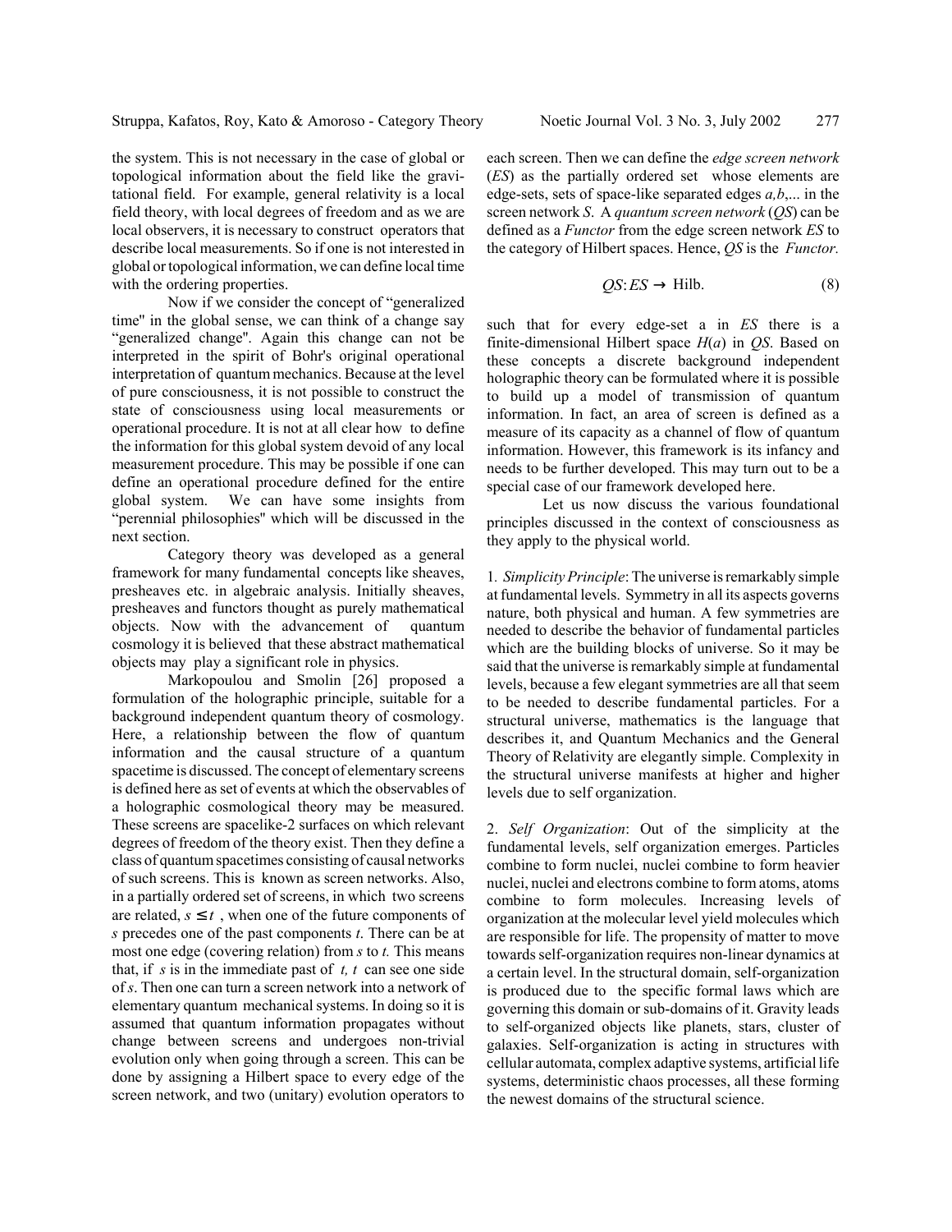the system. This is not necessary in the case of global or topological information about the field like the gravitational field. For example, general relativity is a local field theory, with local degrees of freedom and as we are local observers, it is necessary to construct operators that describe local measurements. So if one is not interested in global or topological information, we can define local time with the ordering properties.

Now if we consider the concept of "generalized time'' in the global sense, we can think of a change say "generalized change''. Again this change can not be interpreted in the spirit of Bohr's original operational interpretation of quantum mechanics. Because at the level of pure consciousness, it is not possible to construct the state of consciousness using local measurements or operational procedure. It is not at all clear how to define the information for this global system devoid of any local measurement procedure. This may be possible if one can define an operational procedure defined for the entire global system. We can have some insights from "perennial philosophies'' which will be discussed in the next section.

Category theory was developed as a general framework for many fundamental concepts like sheaves, presheaves etc. in algebraic analysis. Initially sheaves, presheaves and functors thought as purely mathematical objects. Now with the advancement of quantum cosmology it is believed that these abstract mathematical objects may play a significant role in physics.

Markopoulou and Smolin [26] proposed a formulation of the holographic principle, suitable for a background independent quantum theory of cosmology. Here, a relationship between the flow of quantum information and the causal structure of a quantum spacetime is discussed. The concept of elementary screens is defined here as set of events at which the observables of a holographic cosmological theory may be measured. These screens are spacelike-2 surfaces on which relevant degrees of freedom of the theory exist. Then they define a class of quantum spacetimes consisting of causal networks of such screens. This is known as screen networks. Also, in a partially ordered set of screens, in which two screens are related,  $s \leq t$ , when one of the future components of *s* precedes one of the past components *t*. There can be at most one edge (covering relation) from *s* to *t.* This means that, if *s* is in the immediate past of *t, t* can see one side of *s*. Then one can turn a screen network into a network of elementary quantum mechanical systems. In doing so it is assumed that quantum information propagates without change between screens and undergoes non-trivial evolution only when going through a screen. This can be done by assigning a Hilbert space to every edge of the screen network, and two (unitary) evolution operators to

each screen. Then we can define the *edge screen network* (*ES*) as the partially ordered set whose elements are edge-sets, sets of space-like separated edges *a,b*,... in the screen network *S*. A *quantum screen network* (*QS*) can be defined as a *Functor* from the edge screen network *ES* to the category of Hilbert spaces. Hence, *QS* is the *Functor.*

$$
QS: ES \to \text{Hilb.} \tag{8}
$$

such that for every edge-set a in *ES* there is a finite-dimensional Hilbert space *H*(*a*) in *QS*. Based on these concepts a discrete background independent holographic theory can be formulated where it is possible to build up a model of transmission of quantum information. In fact, an area of screen is defined as a measure of its capacity as a channel of flow of quantum information. However, this framework is its infancy and needs to be further developed. This may turn out to be a special case of our framework developed here.

Let us now discuss the various foundational principles discussed in the context of consciousness as they apply to the physical world.

1*. Simplicity Principle*: The universe is remarkably simple at fundamental levels. Symmetry in all its aspects governs nature, both physical and human. A few symmetries are needed to describe the behavior of fundamental particles which are the building blocks of universe. So it may be said that the universe is remarkably simple at fundamental levels, because a few elegant symmetries are all that seem to be needed to describe fundamental particles. For a structural universe, mathematics is the language that describes it, and Quantum Mechanics and the General Theory of Relativity are elegantly simple. Complexity in the structural universe manifests at higher and higher levels due to self organization.

2. *Self Organization*: Out of the simplicity at the fundamental levels, self organization emerges. Particles combine to form nuclei, nuclei combine to form heavier nuclei, nuclei and electrons combine to form atoms, atoms combine to form molecules. Increasing levels of organization at the molecular level yield molecules which are responsible for life. The propensity of matter to move towards self-organization requires non-linear dynamics at a certain level. In the structural domain, self-organization is produced due to the specific formal laws which are governing this domain or sub-domains of it. Gravity leads to self-organized objects like planets, stars, cluster of galaxies. Self-organization is acting in structures with cellular automata, complex adaptive systems, artificial life systems, deterministic chaos processes, all these forming the newest domains of the structural science.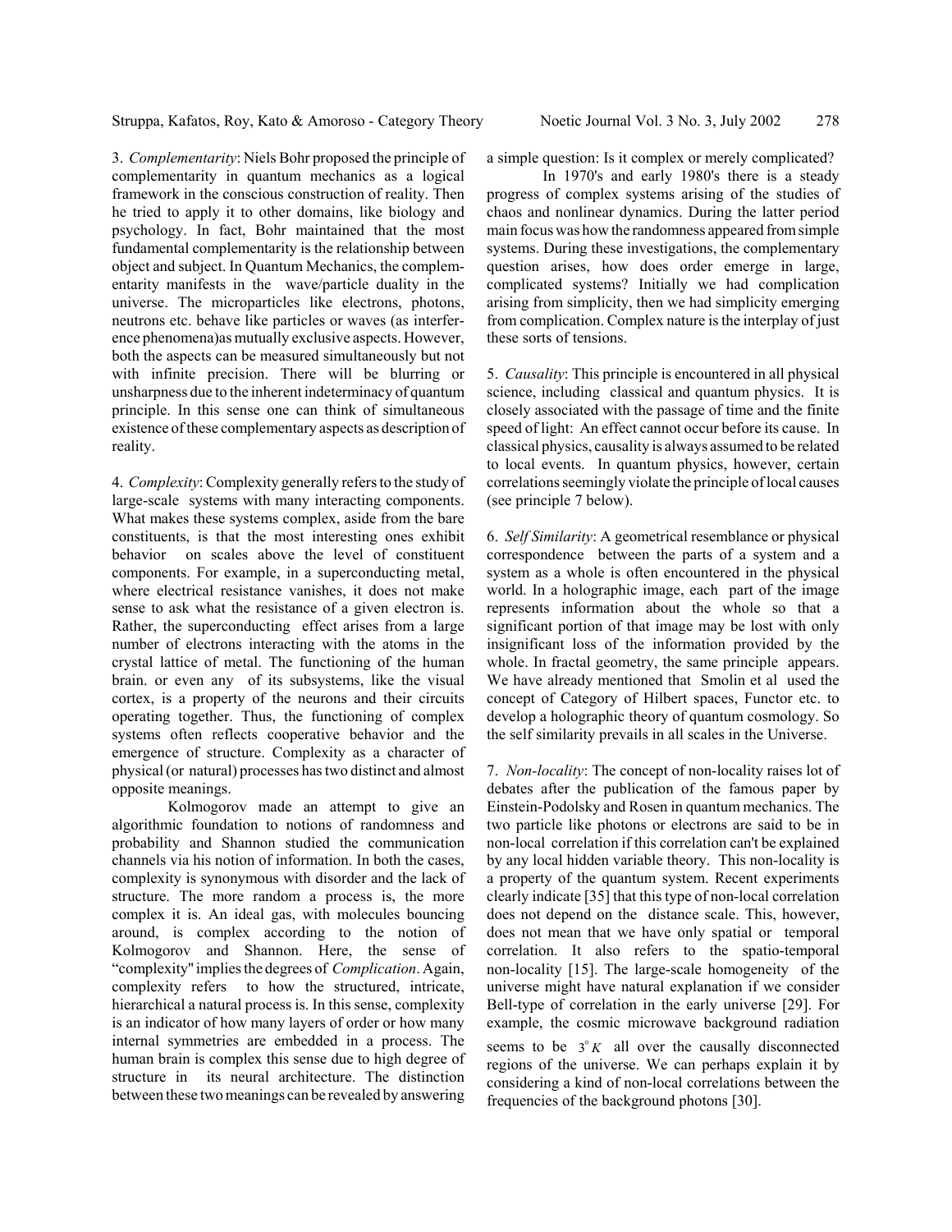3. *Complementarity*: Niels Bohr proposed the principle of complementarity in quantum mechanics as a logical framework in the conscious construction of reality. Then he tried to apply it to other domains, like biology and psychology. In fact, Bohr maintained that the most fundamental complementarity is the relationship between object and subject. In Quantum Mechanics, the complementarity manifests in the wave/particle duality in the universe. The microparticles like electrons, photons, neutrons etc. behave like particles or waves (as interference phenomena)as mutually exclusive aspects. However, both the aspects can be measured simultaneously but not with infinite precision. There will be blurring or unsharpness due to the inherent indeterminacy of quantum principle. In this sense one can think of simultaneous existence of these complementary aspects as description of reality.

4. *Complexity*: Complexity generally refers to the study of large-scale systems with many interacting components. What makes these systems complex, aside from the bare constituents, is that the most interesting ones exhibit behavior on scales above the level of constituent components. For example, in a superconducting metal, where electrical resistance vanishes, it does not make sense to ask what the resistance of a given electron is. Rather, the superconducting effect arises from a large number of electrons interacting with the atoms in the crystal lattice of metal. The functioning of the human brain. or even any of its subsystems, like the visual cortex, is a property of the neurons and their circuits operating together. Thus, the functioning of complex systems often reflects cooperative behavior and the emergence of structure. Complexity as a character of physical (or natural) processes has two distinct and almost opposite meanings.

Kolmogorov made an attempt to give an algorithmic foundation to notions of randomness and probability and Shannon studied the communication channels via his notion of information. In both the cases, complexity is synonymous with disorder and the lack of structure. The more random a process is, the more complex it is. An ideal gas, with molecules bouncing around, is complex according to the notion of Kolmogorov and Shannon. Here, the sense of "complexity'' implies the degrees of *Complication*. Again, complexity refers to how the structured, intricate, hierarchical a natural process is. In this sense, complexity is an indicator of how many layers of order or how many internal symmetries are embedded in a process. The human brain is complex this sense due to high degree of structure in its neural architecture. The distinction between these two meanings can be revealed by answering

a simple question: Is it complex or merely complicated?

In 1970's and early 1980's there is a steady progress of complex systems arising of the studies of chaos and nonlinear dynamics. During the latter period main focus was how the randomness appeared from simple systems. During these investigations, the complementary question arises, how does order emerge in large, complicated systems? Initially we had complication arising from simplicity, then we had simplicity emerging from complication. Complex nature is the interplay of just these sorts of tensions.

5. *Causality*: This principle is encountered in all physical science, including classical and quantum physics. It is closely associated with the passage of time and the finite speed of light: An effect cannot occur before its cause. In classical physics, causality is always assumed to be related to local events. In quantum physics, however, certain correlations seemingly violate the principle of local causes (see principle 7 below).

6. *Self Similarity*: A geometrical resemblance or physical correspondence between the parts of a system and a system as a whole is often encountered in the physical world. In a holographic image, each part of the image represents information about the whole so that a significant portion of that image may be lost with only insignificant loss of the information provided by the whole. In fractal geometry, the same principle appears. We have already mentioned that Smolin et al used the concept of Category of Hilbert spaces, Functor etc. to develop a holographic theory of quantum cosmology. So the self similarity prevails in all scales in the Universe.

7. *Non-locality*: The concept of non-locality raises lot of debates after the publication of the famous paper by Einstein-Podolsky and Rosen in quantum mechanics. The two particle like photons or electrons are said to be in non-local correlation if this correlation can't be explained by any local hidden variable theory. This non-locality is a property of the quantum system. Recent experiments clearly indicate [35] that this type of non-local correlation does not depend on the distance scale. This, however, does not mean that we have only spatial or temporal correlation. It also refers to the spatio-temporal non-locality [15]. The large-scale homogeneity of the universe might have natural explanation if we consider Bell-type of correlation in the early universe [29]. For example, the cosmic microwave background radiation

seems to be  $3^\circ K$  all over the causally disconnected regions of the universe. We can perhaps explain it by considering a kind of non-local correlations between the frequencies of the background photons [30].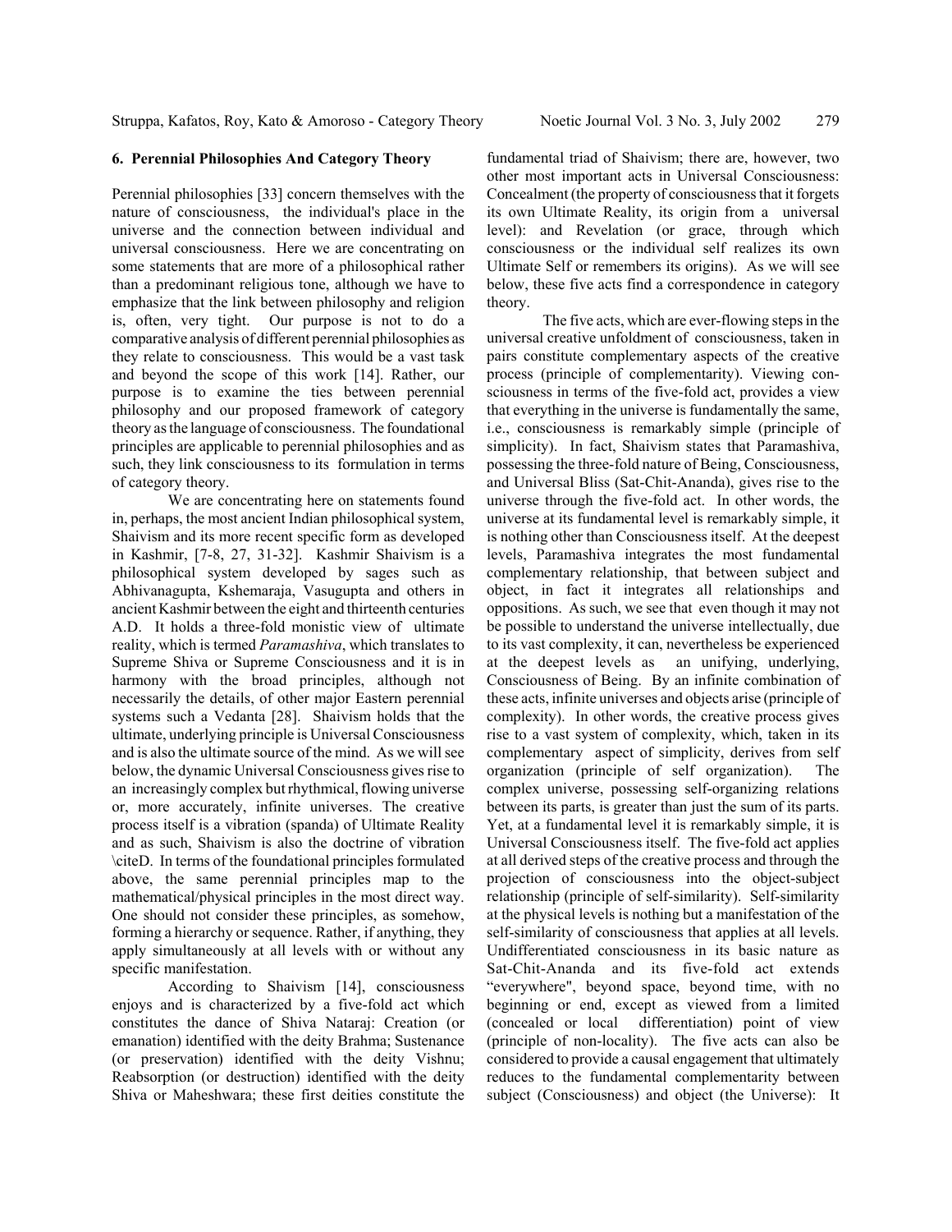#### **6. Perennial Philosophies And Category Theory**

Perennial philosophies [33] concern themselves with the nature of consciousness, the individual's place in the universe and the connection between individual and universal consciousness. Here we are concentrating on some statements that are more of a philosophical rather than a predominant religious tone, although we have to emphasize that the link between philosophy and religion is, often, very tight. Our purpose is not to do a comparative analysis of different perennial philosophies as they relate to consciousness. This would be a vast task and beyond the scope of this work [14]. Rather, our purpose is to examine the ties between perennial philosophy and our proposed framework of category theory as the language of consciousness. The foundational principles are applicable to perennial philosophies and as such, they link consciousness to its formulation in terms of category theory.

We are concentrating here on statements found in, perhaps, the most ancient Indian philosophical system, Shaivism and its more recent specific form as developed in Kashmir, [7-8, 27, 31-32]. Kashmir Shaivism is a philosophical system developed by sages such as Abhivanagupta, Kshemaraja, Vasugupta and others in ancient Kashmir between the eight and thirteenth centuries A.D. It holds a three-fold monistic view of ultimate reality, which is termed *Paramashiva*, which translates to Supreme Shiva or Supreme Consciousness and it is in harmony with the broad principles, although not necessarily the details, of other major Eastern perennial systems such a Vedanta [28]. Shaivism holds that the ultimate, underlying principle is Universal Consciousness and is also the ultimate source of the mind. As we will see below, the dynamic Universal Consciousness gives rise to an increasingly complex but rhythmical, flowing universe or, more accurately, infinite universes. The creative process itself is a vibration (spanda) of Ultimate Reality and as such, Shaivism is also the doctrine of vibration \citeD. In terms of the foundational principles formulated above, the same perennial principles map to the mathematical/physical principles in the most direct way. One should not consider these principles, as somehow, forming a hierarchy or sequence. Rather, if anything, they apply simultaneously at all levels with or without any specific manifestation.

According to Shaivism [14], consciousness enjoys and is characterized by a five-fold act which constitutes the dance of Shiva Nataraj: Creation (or emanation) identified with the deity Brahma; Sustenance (or preservation) identified with the deity Vishnu; Reabsorption (or destruction) identified with the deity Shiva or Maheshwara; these first deities constitute the fundamental triad of Shaivism; there are, however, two other most important acts in Universal Consciousness: Concealment (the property of consciousness that it forgets its own Ultimate Reality, its origin from a universal level): and Revelation (or grace, through which consciousness or the individual self realizes its own Ultimate Self or remembers its origins). As we will see below, these five acts find a correspondence in category theory.

The five acts, which are ever-flowing steps in the universal creative unfoldment of consciousness, taken in pairs constitute complementary aspects of the creative process (principle of complementarity). Viewing consciousness in terms of the five-fold act, provides a view that everything in the universe is fundamentally the same, i.e., consciousness is remarkably simple (principle of simplicity). In fact, Shaivism states that Paramashiva, possessing the three-fold nature of Being, Consciousness, and Universal Bliss (Sat-Chit-Ananda), gives rise to the universe through the five-fold act. In other words, the universe at its fundamental level is remarkably simple, it is nothing other than Consciousness itself. At the deepest levels, Paramashiva integrates the most fundamental complementary relationship, that between subject and object, in fact it integrates all relationships and oppositions. As such, we see that even though it may not be possible to understand the universe intellectually, due to its vast complexity, it can, nevertheless be experienced at the deepest levels as an unifying, underlying, Consciousness of Being. By an infinite combination of these acts, infinite universes and objects arise (principle of complexity). In other words, the creative process gives rise to a vast system of complexity, which, taken in its complementary aspect of simplicity, derives from self organization (principle of self organization). The complex universe, possessing self-organizing relations between its parts, is greater than just the sum of its parts. Yet, at a fundamental level it is remarkably simple, it is Universal Consciousness itself. The five-fold act applies at all derived steps of the creative process and through the projection of consciousness into the object-subject relationship (principle of self-similarity). Self-similarity at the physical levels is nothing but a manifestation of the self-similarity of consciousness that applies at all levels. Undifferentiated consciousness in its basic nature as Sat-Chit-Ananda and its five-fold act extends "everywhere", beyond space, beyond time, with no beginning or end, except as viewed from a limited (concealed or local differentiation) point of view (principle of non-locality). The five acts can also be considered to provide a causal engagement that ultimately reduces to the fundamental complementarity between subject (Consciousness) and object (the Universe): It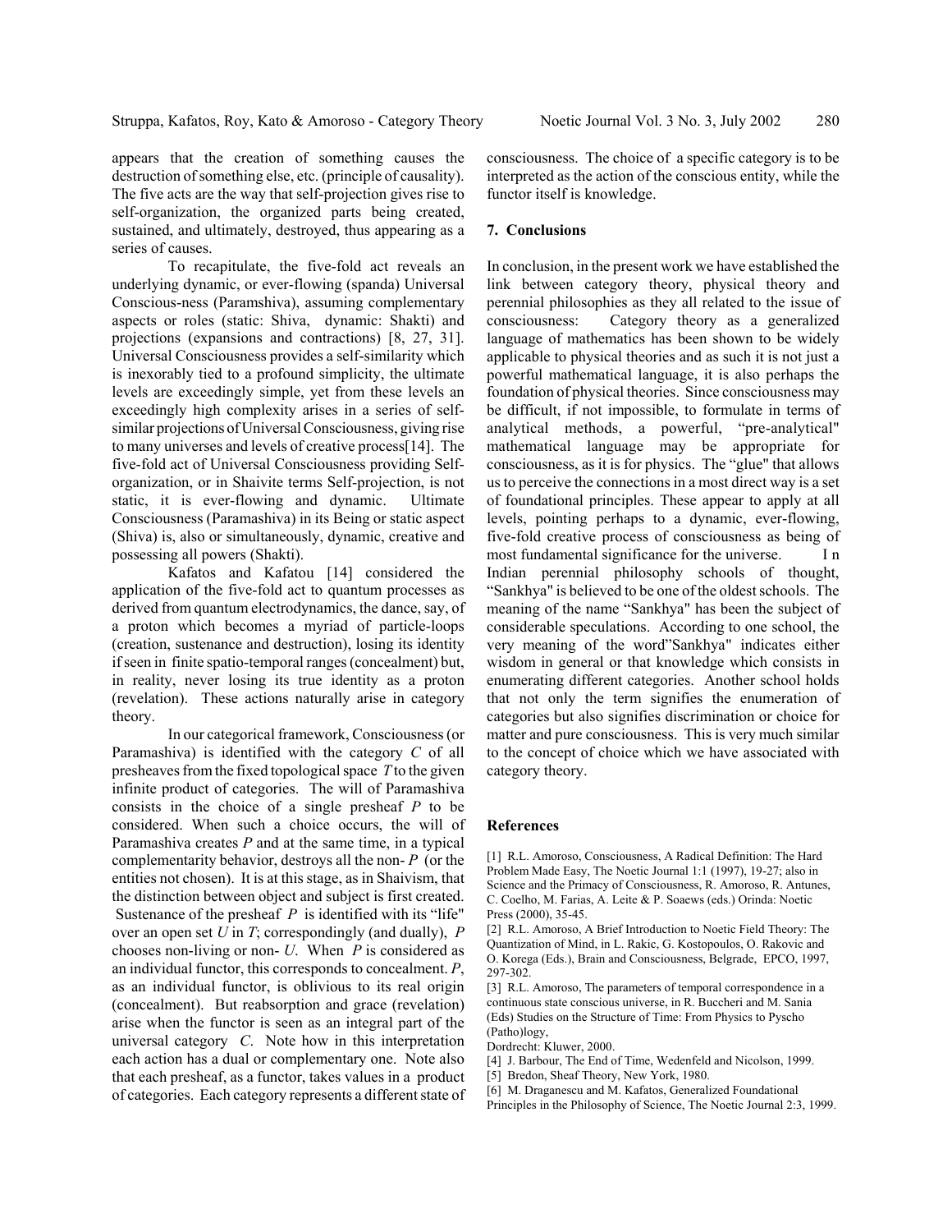destruction of something else, etc. (principle of causality). The five acts are the way that self-projection gives rise to self-organization, the organized parts being created, sustained, and ultimately, destroyed, thus appearing as a series of causes.

To recapitulate, the five-fold act reveals an underlying dynamic, or ever-flowing (spanda) Universal Conscious-ness (Paramshiva), assuming complementary aspects or roles (static: Shiva, dynamic: Shakti) and projections (expansions and contractions) [8, 27, 31]. Universal Consciousness provides a self-similarity which is inexorably tied to a profound simplicity, the ultimate levels are exceedingly simple, yet from these levels an exceedingly high complexity arises in a series of selfsimilar projections of Universal Consciousness, giving rise to many universes and levels of creative process[14]. The five-fold act of Universal Consciousness providing Selforganization, or in Shaivite terms Self-projection, is not static, it is ever-flowing and dynamic. Ultimate Consciousness (Paramashiva) in its Being or static aspect (Shiva) is, also or simultaneously, dynamic, creative and possessing all powers (Shakti).

Kafatos and Kafatou [14] considered the application of the five-fold act to quantum processes as derived from quantum electrodynamics, the dance, say, of a proton which becomes a myriad of particle-loops (creation, sustenance and destruction), losing its identity if seen in finite spatio-temporal ranges (concealment) but, in reality, never losing its true identity as a proton (revelation). These actions naturally arise in category theory.

In our categorical framework, Consciousness (or Paramashiva) is identified with the category *C* of all presheaves from the fixed topological space *T* to the given infinite product of categories. The will of Paramashiva consists in the choice of a single presheaf *P* to be considered. When such a choice occurs, the will of Paramashiva creates *P* and at the same time, in a typical complementarity behavior, destroys all the non- *P* (or the entities not chosen). It is at this stage, as in Shaivism, that the distinction between object and subject is first created. Sustenance of the presheaf *P* is identified with its "life" over an open set *U* in *T*; correspondingly (and dually), *P* chooses non-living or non- *U*. When *P* is considered as an individual functor, this corresponds to concealment. *P*, as an individual functor, is oblivious to its real origin (concealment). But reabsorption and grace (revelation) arise when the functor is seen as an integral part of the universal category *C*. Note how in this interpretation each action has a dual or complementary one. Note also that each presheaf, as a functor, takes values in a product of categories. Each category represents a different state of consciousness. The choice of a specific category is to be interpreted as the action of the conscious entity, while the functor itself is knowledge.

### **7. Conclusions**

In conclusion, in the present work we have established the link between category theory, physical theory and perennial philosophies as they all related to the issue of consciousness: Category theory as a generalized language of mathematics has been shown to be widely applicable to physical theories and as such it is not just a powerful mathematical language, it is also perhaps the foundation of physical theories. Since consciousness may be difficult, if not impossible, to formulate in terms of analytical methods, a powerful, "pre-analytical" mathematical language may be appropriate for consciousness, as it is for physics. The "glue" that allows us to perceive the connections in a most direct way is a set of foundational principles. These appear to apply at all levels, pointing perhaps to a dynamic, ever-flowing, five-fold creative process of consciousness as being of most fundamental significance for the universe. I n Indian perennial philosophy schools of thought, "Sankhya" is believed to be one of the oldest schools. The meaning of the name "Sankhya" has been the subject of considerable speculations. According to one school, the very meaning of the word"Sankhya" indicates either wisdom in general or that knowledge which consists in enumerating different categories. Another school holds that not only the term signifies the enumeration of categories but also signifies discrimination or choice for matter and pure consciousness. This is very much similar to the concept of choice which we have associated with category theory.

#### **References**

[1] R.L. Amoroso, Consciousness, A Radical Definition: The Hard Problem Made Easy, The Noetic Journal 1:1 (1997), 19-27; also in Science and the Primacy of Consciousness, R. Amoroso, R. Antunes, C. Coelho, M. Farias, A. Leite & P. Soaews (eds.) Orinda: Noetic Press (2000), 35-45.

[2] R.L. Amoroso, A Brief Introduction to Noetic Field Theory: The Quantization of Mind, in L. Rakic, G. Kostopoulos, O. Rakovic and O. Korega (Eds.), Brain and Consciousness, Belgrade, EPCO, 1997, 297-302.

[3] R.L. Amoroso, The parameters of temporal correspondence in a continuous state conscious universe, in R. Buccheri and M. Sania (Eds) Studies on the Structure of Time: From Physics to Pyscho (Patho)logy,

Dordrecht: Kluwer, 2000.

[4] J. Barbour, The End of Time, Wedenfeld and Nicolson, 1999.

[5] Bredon, Sheaf Theory, New York, 1980.

[6] M. Draganescu and M. Kafatos, Generalized Foundational

Principles in the Philosophy of Science, The Noetic Journal 2:3, 1999.